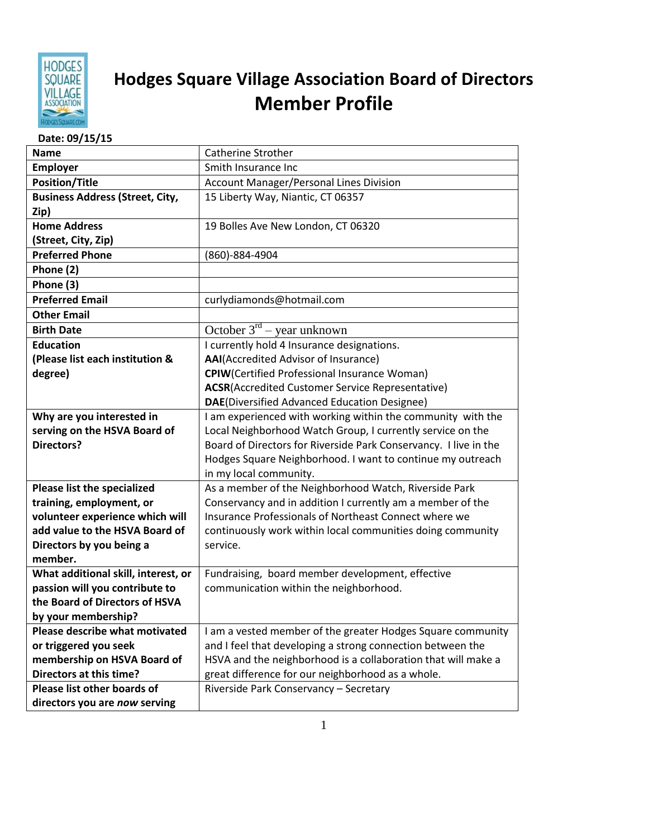

## **Hodges Square Village Association Board of Directors Member Profile**

| Date: 09/15/15                         |                                                                  |
|----------------------------------------|------------------------------------------------------------------|
| <b>Name</b>                            | <b>Catherine Strother</b>                                        |
| Employer                               | Smith Insurance Inc                                              |
| <b>Position/Title</b>                  | <b>Account Manager/Personal Lines Division</b>                   |
| <b>Business Address (Street, City,</b> | 15 Liberty Way, Niantic, CT 06357                                |
| Zip)                                   |                                                                  |
| <b>Home Address</b>                    | 19 Bolles Ave New London, CT 06320                               |
| (Street, City, Zip)                    |                                                                  |
| <b>Preferred Phone</b>                 | (860)-884-4904                                                   |
| Phone (2)                              |                                                                  |
| Phone (3)                              |                                                                  |
| <b>Preferred Email</b>                 | curlydiamonds@hotmail.com                                        |
| <b>Other Email</b>                     |                                                                  |
| <b>Birth Date</b>                      | October $3^{rd}$ – year unknown                                  |
| <b>Education</b>                       | I currently hold 4 Insurance designations.                       |
| (Please list each institution &        | AAI(Accredited Advisor of Insurance)                             |
| degree)                                | <b>CPIW</b> (Certified Professional Insurance Woman)             |
|                                        | <b>ACSR</b> (Accredited Customer Service Representative)         |
|                                        | DAE(Diversified Advanced Education Designee)                     |
| Why are you interested in              | I am experienced with working within the community with the      |
| serving on the HSVA Board of           | Local Neighborhood Watch Group, I currently service on the       |
| <b>Directors?</b>                      | Board of Directors for Riverside Park Conservancy. I live in the |
|                                        | Hodges Square Neighborhood. I want to continue my outreach       |
|                                        | in my local community.                                           |
| <b>Please list the specialized</b>     | As a member of the Neighborhood Watch, Riverside Park            |
| training, employment, or               | Conservancy and in addition I currently am a member of the       |
| volunteer experience which will        | Insurance Professionals of Northeast Connect where we            |
| add value to the HSVA Board of         | continuously work within local communities doing community       |
| Directors by you being a               | service.                                                         |
| member.                                |                                                                  |
| What additional skill, interest, or    | Fundraising, board member development, effective                 |
| passion will you contribute to         | communication within the neighborhood.                           |
| the Board of Directors of HSVA         |                                                                  |
| by your membership?                    |                                                                  |
| Please describe what motivated         | I am a vested member of the greater Hodges Square community      |
| or triggered you seek                  | and I feel that developing a strong connection between the       |
| membership on HSVA Board of            | HSVA and the neighborhood is a collaboration that will make a    |
| Directors at this time?                | great difference for our neighborhood as a whole.                |
| Please list other boards of            | Riverside Park Conservancy - Secretary                           |
| directors you are now serving          |                                                                  |